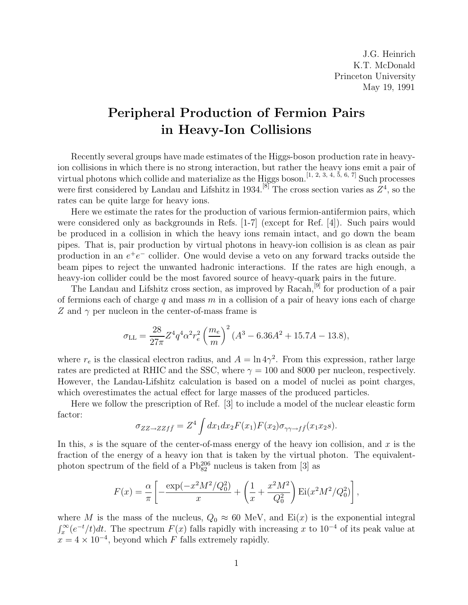J.G. Heinrich K.T. McDonald Princeton University May 19, 1991

## **Peripheral Production of Fermion Pairs in Heavy-Ion Collisions**

Recently several groups have made estimates of the Higgs-boson production rate in heavyion collisions in which there is no strong interaction, but rather the heavy ions emit a pair of virtual photons which collide and materialize as the Higgs boson.<sup>[1, 2, 3, 4, 5, 6, 7]</sup> Such processes were first considered by Landau and Lifshitz in 1934.<sup>[8]</sup> The cross section varies as  $Z^4$ , so the rates can be quite large for heavy ions.

Here we estimate the rates for the production of various fermion-antifermion pairs, which were considered only as backgrounds in Refs. [1-7] (except for Ref. [4]). Such pairs would be produced in a collision in which the heavy ions remain intact, and go down the beam pipes. That is, pair production by virtual photons in heavy-ion collision is as clean as pair production in an  $e^+e^-$  collider. One would devise a veto on any forward tracks outside the beam pipes to reject the unwanted hadronic interactions. If the rates are high enough, a heavy-ion collider could be the most favored source of heavy-quark pairs in the future.

The Landau and Lifshitz cross section, as improved by Racah,[9] for production of a pair of fermions each of charge q and mass  $m$  in a collision of a pair of heavy ions each of charge Z and  $\gamma$  per nucleon in the center-of-mass frame is

$$
\sigma_{\rm LL} = \frac{28}{27\pi} Z^4 q^4 \alpha^2 r_e^2 \left(\frac{m_e}{m}\right)^2 (A^3 - 6.36 A^2 + 15.7 A - 13.8),
$$

where  $r_e$  is the classical electron radius, and  $A = \ln 4\gamma^2$ . From this expression, rather large rates are predicted at RHIC and the SSC, where  $\gamma = 100$  and 8000 per nucleon, respectively. However, the Landau-Lifshitz calculation is based on a model of nuclei as point charges, which overestimates the actual effect for large masses of the produced particles.

Here we follow the prescription of Ref. [3] to include a model of the nuclear eleastic form factor:

$$
\sigma_{ZZ \to ZZf\bar{f}} = Z^4 \int dx_1 dx_2 F(x_1) F(x_2) \sigma_{\gamma\gamma \to f\bar{f}}(x_1 x_2 s).
$$

In this, s is the square of the center-of-mass energy of the heavy ion collision, and x is the fraction of the energy of a heavy ion that is taken by the virtual photon. The equivalentphoton spectrum of the field of a  $\mathrm{Pb_{82}^{206}}$  nucleus is taken from [3] as

$$
F(x) = \frac{\alpha}{\pi} \left[ -\frac{\exp(-x^2 M^2 / Q_0^2)}{x} + \left( \frac{1}{x} + \frac{x^2 M^2}{Q_0^2} \right) \mathrm{Ei}(x^2 M^2 / Q_0^2) \right],
$$

where M is the mass of the nucleus,  $Q_0 \approx 60$  MeV, and Ei(x) is the exponential integral  $\int_x^{\infty} (e^{-t}/t) dt$ . The spectrum  $F(x)$  falls rapidly with increasing x to 10<sup>-4</sup> of its peak value at  $x = 4 \times 10^{-4}$ , beyond which F falls extremely rapidly.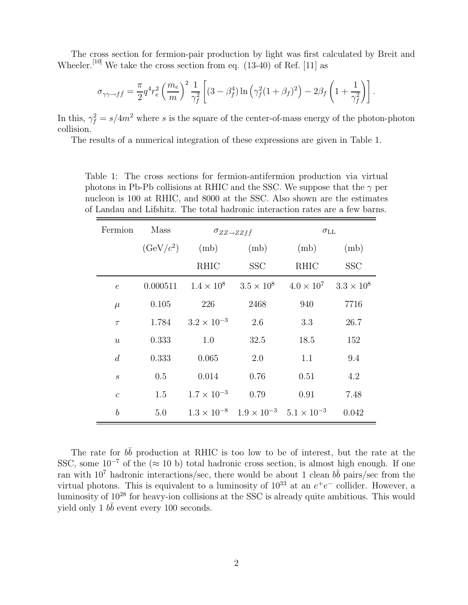The cross section for fermion-pair production by light was first calculated by Breit and Wheeler.<sup>[10]</sup> We take the cross section from eq.  $(13-40)$  of Ref. [11] as

$$
\sigma_{\gamma\gamma \to f\bar{f}} = \frac{\pi}{2} q^4 r_e^2 \left(\frac{m_e}{m}\right)^2 \frac{1}{\gamma_f^2} \left[ (3 - \beta_f^4) \ln \left( \gamma_f^2 (1 + \beta_f)^2 \right) - 2\beta_f \left( 1 + \frac{1}{\gamma_f^2} \right) \right].
$$

In this,  $\gamma_f^2 = s/4m^2$  where s is the square of the center-of-mass energy of the photon-photon collision.

The results of a numerical integration of these expressions are given in Table 1.

Table 1: The cross sections for fermion-antifermion production via virtual photons in Pb-Pb collisions at RHIC and the SSC. We suppose that the  $\gamma$  per nucleon is 100 at RHIC, and 8000 at the SSC. Also shown are the estimates of Landau and Lifshitz. The total hadronic interaction rates are a few barns.

| Fermion          | Mass        | $\sigma_{ZZ\to ZZf\bar{f}}$ |                                                                | $\sigma_{\rm LL}$                   |            |
|------------------|-------------|-----------------------------|----------------------------------------------------------------|-------------------------------------|------------|
|                  | $(GeV/c^2)$ | (mb)                        | (mb)                                                           | (mb)                                | (mb)       |
|                  |             | RHIC                        | <b>SSC</b>                                                     | <b>RHIC</b>                         | <b>SSC</b> |
| $\epsilon$       | 0.000511    |                             | $1.4 \times 10^8$ $3.5 \times 10^8$                            | $4.0 \times 10^7$ $3.3 \times 10^8$ |            |
| $\mu$            | 0.105       | 226                         | 2468                                                           | 940                                 | 7716       |
| $\tau$           | 1.784       | $3.2 \times 10^{-3}$        | 2.6                                                            | 3.3                                 | 26.7       |
| $\boldsymbol{u}$ | 0.333       | 1.0                         | 32.5                                                           | 18.5                                | 152        |
| $\boldsymbol{d}$ | 0.333       | 0.065                       | 2.0                                                            | 1.1                                 | 9.4        |
| $\boldsymbol{s}$ | 0.5         | 0.014                       | 0.76                                                           | 0.51                                | 4.2        |
| $\mathcal{C}$    | 1.5         | $1.7 \times 10^{-3}$        | 0.79                                                           | 0.91                                | 7.48       |
| $\boldsymbol{b}$ | 5.0         |                             | $1.3 \times 10^{-8}$ $1.9 \times 10^{-3}$ $5.1 \times 10^{-3}$ |                                     | 0.042      |

The rate for  $b\bar{b}$  production at RHIC is too low to be of interest, but the rate at the SSC, some  $10^{-7}$  of the (≈ 10 b) total hadronic cross section, is almost high enough. If one ran with  $10^7$  hadronic interactions/sec, there would be about 1 clean  $b\bar{b}$  pairs/sec from the virtual photons. This is equivalent to a luminosity of  $10^{33}$  at an  $e^+e^-$  collider. However, a luminosity of 10<sup>28</sup> for heavy-ion collisions at the SSC is already quite ambitious. This would yield only 1  $b\bar{b}$  event every 100 seconds.